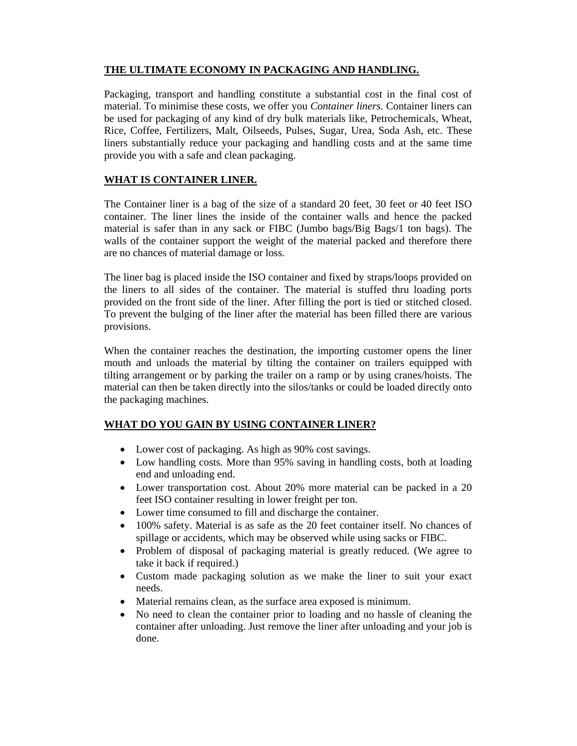## **THE ULTIMATE ECONOMY IN PACKAGING AND HANDLING.**

Packaging, transport and handling constitute a substantial cost in the final cost of material. To minimise these costs, we offer you *Container liners.* Container liners can be used for packaging of any kind of dry bulk materials like, Petrochemicals, Wheat, Rice, Coffee, Fertilizers, Malt, Oilseeds, Pulses, Sugar, Urea, Soda Ash, etc. These liners substantially reduce your packaging and handling costs and at the same time provide you with a safe and clean packaging.

## **WHAT IS CONTAINER LINER.**

The Container liner is a bag of the size of a standard 20 feet, 30 feet or 40 feet ISO container. The liner lines the inside of the container walls and hence the packed material is safer than in any sack or FIBC (Jumbo bags/Big Bags/1 ton bags). The walls of the container support the weight of the material packed and therefore there are no chances of material damage or loss.

The liner bag is placed inside the ISO container and fixed by straps/loops provided on the liners to all sides of the container. The material is stuffed thru loading ports provided on the front side of the liner. After filling the port is tied or stitched closed. To prevent the bulging of the liner after the material has been filled there are various provisions.

When the container reaches the destination, the importing customer opens the liner mouth and unloads the material by tilting the container on trailers equipped with tilting arrangement or by parking the trailer on a ramp or by using cranes/hoists. The material can then be taken directly into the silos/tanks or could be loaded directly onto the packaging machines.

## **WHAT DO YOU GAIN BY USING CONTAINER LINER?**

- Lower cost of packaging. As high as 90% cost savings.
- Low handling costs. More than 95% saving in handling costs, both at loading end and unloading end.
- Lower transportation cost. About 20% more material can be packed in a 20 feet ISO container resulting in lower freight per ton.
- Lower time consumed to fill and discharge the container.
- 100% safety. Material is as safe as the 20 feet container itself. No chances of spillage or accidents, which may be observed while using sacks or FIBC.
- Problem of disposal of packaging material is greatly reduced. (We agree to take it back if required.)
- Custom made packaging solution as we make the liner to suit your exact needs.
- Material remains clean, as the surface area exposed is minimum.
- No need to clean the container prior to loading and no hassle of cleaning the container after unloading. Just remove the liner after unloading and your job is done.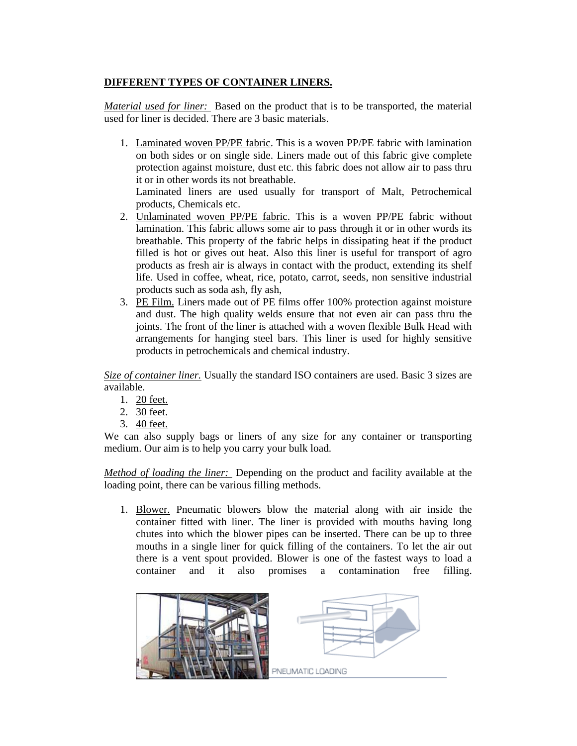## **DIFFERENT TYPES OF CONTAINER LINERS.**

*Material used for liner:* Based on the product that is to be transported, the material used for liner is decided. There are 3 basic materials.

1. Laminated woven PP/PE fabric. This is a woven PP/PE fabric with lamination on both sides or on single side. Liners made out of this fabric give complete protection against moisture, dust etc. this fabric does not allow air to pass thru it or in other words its not breathable.

Laminated liners are used usually for transport of Malt, Petrochemical products, Chemicals etc.

- 2. Unlaminated woven PP/PE fabric. This is a woven PP/PE fabric without lamination. This fabric allows some air to pass through it or in other words its breathable. This property of the fabric helps in dissipating heat if the product filled is hot or gives out heat. Also this liner is useful for transport of agro products as fresh air is always in contact with the product, extending its shelf life. Used in coffee, wheat, rice, potato, carrot, seeds, non sensitive industrial products such as soda ash, fly ash,
- 3. PE Film. Liners made out of PE films offer 100% protection against moisture and dust. The high quality welds ensure that not even air can pass thru the joints. The front of the liner is attached with a woven flexible Bulk Head with arrangements for hanging steel bars. This liner is used for highly sensitive products in petrochemicals and chemical industry.

*Size of container liner.* Usually the standard ISO containers are used. Basic 3 sizes are available.

- 1. 20 feet.
- 2. 30 feet.
- 3. 40 feet.

We can also supply bags or liners of any size for any container or transporting medium. Our aim is to help you carry your bulk load.

*Method of loading the liner:* Depending on the product and facility available at the loading point, there can be various filling methods.

1. Blower. Pneumatic blowers blow the material along with air inside the container fitted with liner. The liner is provided with mouths having long chutes into which the blower pipes can be inserted. There can be up to three mouths in a single liner for quick filling of the containers. To let the air out there is a vent spout provided. Blower is one of the fastest ways to load a container and it also promises a contamination free filling.

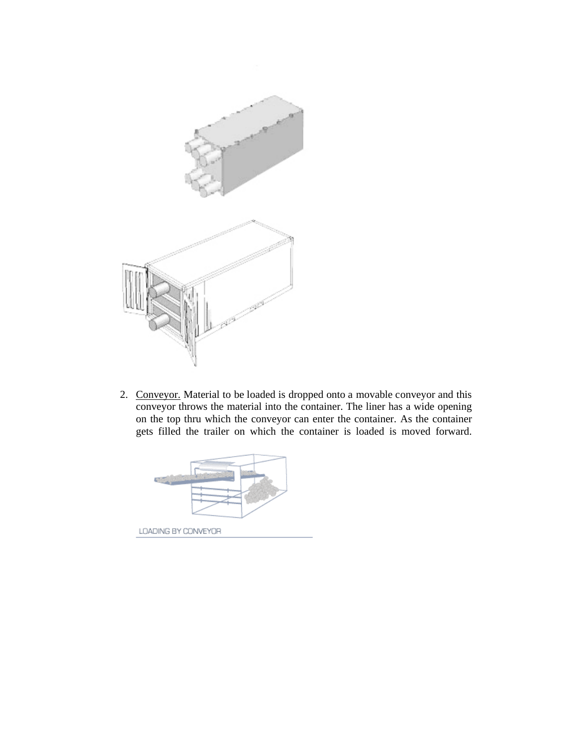

2. Conveyor. Material to be loaded is dropped onto a movable conveyor and this conveyor throws the material into the container. The liner has a wide opening on the top thru which the conveyor can enter the container. As the container gets filled the trailer on which the container is loaded is moved forward.

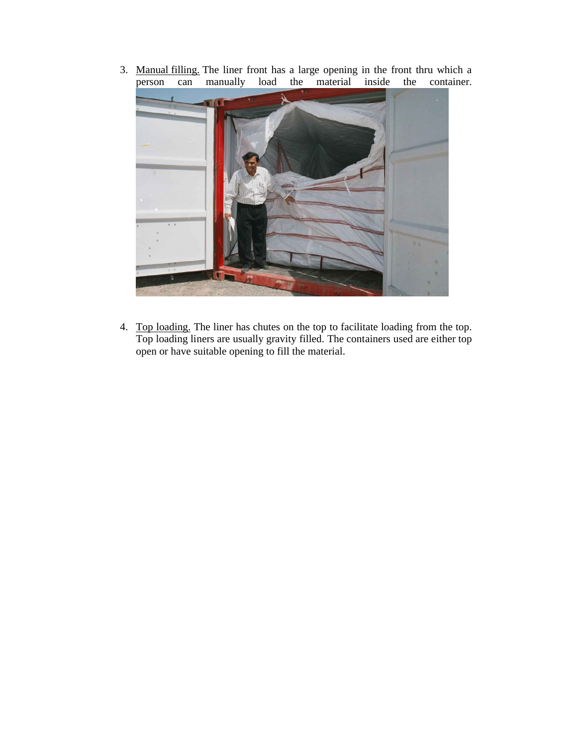3. Manual filling. The liner front has a large opening in the front thru which a person can manually load the material inside the container. person can manually load the material inside the container.



4. Top loading. The liner has chutes on the top to facilitate loading from the top. Top loading liners are usually gravity filled. The containers used are either top open or have suitable opening to fill the material.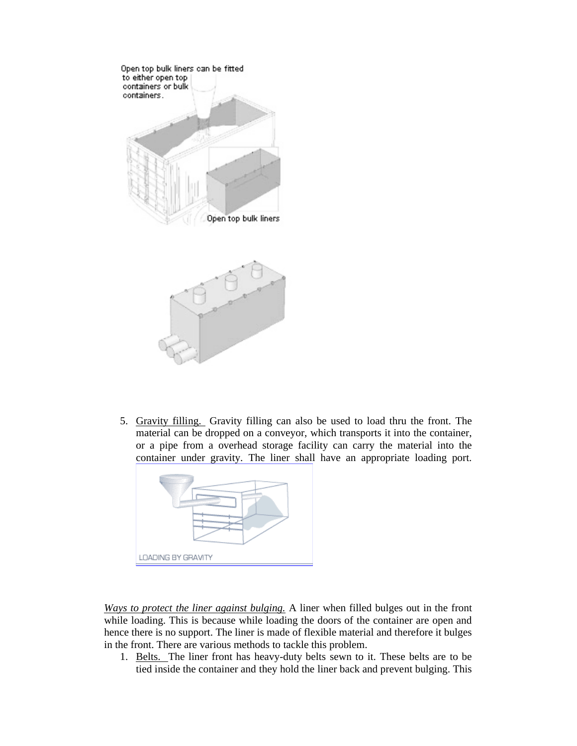

5. Gravity filling. Gravity filling can also be used to load thru the front. The material can be dropped on a conveyor, which transports it into the container, or a pipe from a overhead storage facility can carry the material into the container under gravity. The liner shall have an appropriate loading port.



*Ways to protect the liner against bulging.* A liner when filled bulges out in the front while loading. This is because while loading the doors of the container are open and hence there is no support. The liner is made of flexible material and therefore it bulges in the front. There are various methods to tackle this problem.

1. Belts. The liner front has heavy-duty belts sewn to it. These belts are to be tied inside the container and they hold the liner back and prevent bulging. This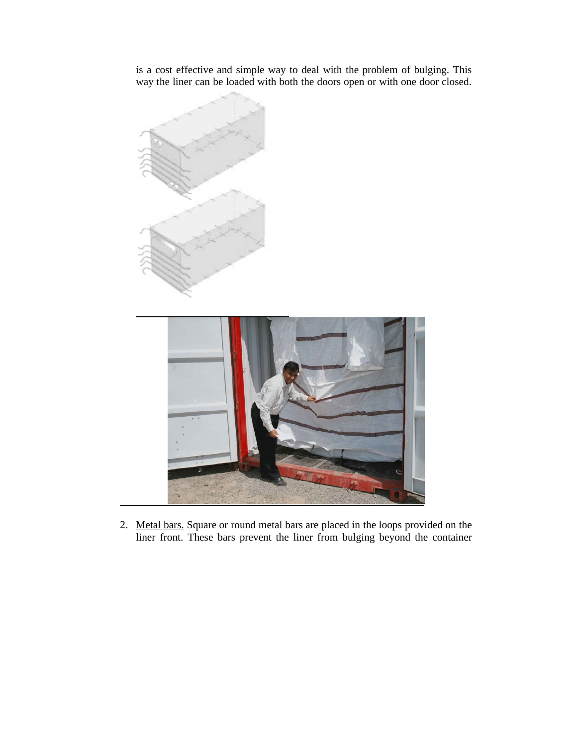is a cost effective and simple way to deal with the problem of bulging. This way the liner can be loaded with both the doors open or with one door closed.



2. Metal bars. Square or round metal bars are placed in the loops provided on the liner front. These bars prevent the liner from bulging beyond the container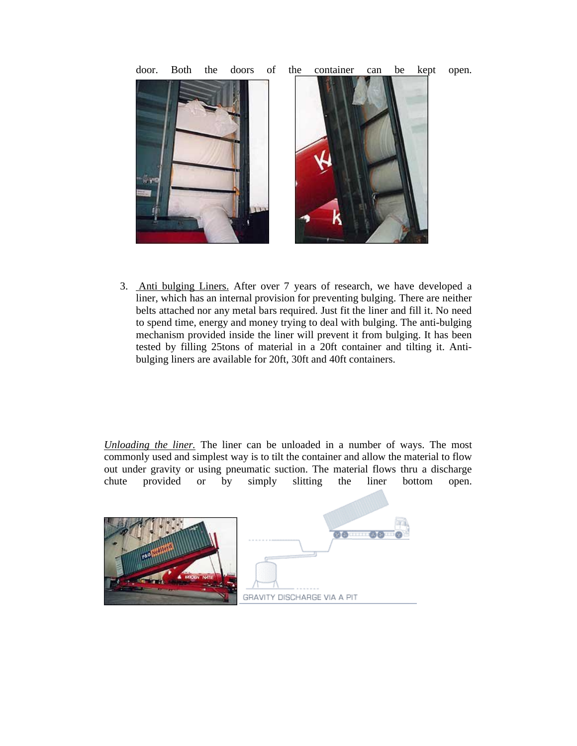

3. Anti bulging Liners. After over 7 years of research, we have developed a liner, which has an internal provision for preventing bulging. There are neither belts attached nor any metal bars required. Just fit the liner and fill it. No need to spend time, energy and money trying to deal with bulging. The anti-bulging mechanism provided inside the liner will prevent it from bulging. It has been tested by filling 25tons of material in a 20ft container and tilting it. Antibulging liners are available for 20ft, 30ft and 40ft containers.

*Unloading the liner.* The liner can be unloaded in a number of ways. The most commonly used and simplest way is to tilt the container and allow the material to flow out under gravity or using pneumatic suction. The material flows thru a discharge chute provided or by simply slitting the liner bottom open.



door. Both the doors of the container can be kept open.